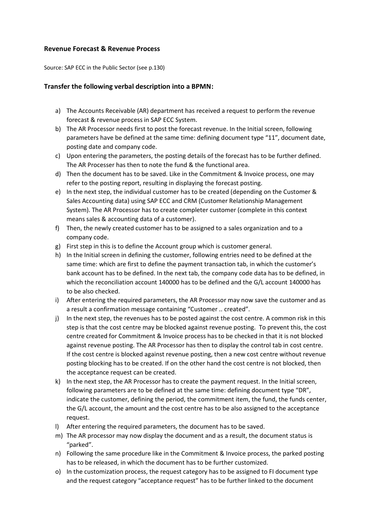## **Revenue Forecast & Revenue Process**

Source: SAP ECC in the Public Sector (see p.130)

## **Transfer the following verbal description into a BPMN:**

- a) The Accounts Receivable (AR) department has received a request to perform the revenue forecast & revenue process in SAP ECC System.
- b) The AR Processor needs first to post the forecast revenue. In the Initial screen, following parameters have be defined at the same time: defining document type "11", document date, posting date and company code.
- c) Upon entering the parameters, the posting details of the forecast has to be further defined. The AR Processer has then to note the fund & the functional area.
- d) Then the document has to be saved. Like in the Commitment & Invoice process, one may refer to the posting report, resulting in displaying the forecast posting.
- e) In the next step, the individual customer has to be created (depending on the Customer & Sales Accounting data) using SAP ECC and CRM (Customer Relationship Management System). The AR Processor has to create completer customer (complete in this context means sales & accounting data of a customer).
- f) Then, the newly created customer has to be assigned to a sales organization and to a company code.
- g) First step in this is to define the Account group which is customer general.
- h) In the Initial screen in defining the customer, following entries need to be defined at the same time: which are first to define the payment transaction tab, in which the customer's bank account has to be defined. In the next tab, the company code data has to be defined, in which the reconciliation account 140000 has to be defined and the G/L account 140000 has to be also checked.
- i) After entering the required parameters, the AR Processor may now save the customer and as a result a confirmation message containing "Customer .. created".
- j) In the next step, the revenues has to be posted against the cost centre. A common risk in this step is that the cost centre may be blocked against revenue posting. To prevent this, the cost centre created for Commitment & Invoice process has to be checked in that it is not blocked against revenue posting. The AR Processor has then to display the control tab in cost centre. If the cost centre is blocked against revenue posting, then a new cost centre without revenue posting blocking has to be created. If on the other hand the cost centre is not blocked, then the acceptance request can be created.
- k) In the next step, the AR Processor has to create the payment request. In the Initial screen, following parameters are to be defined at the same time: defining document type "DR", indicate the customer, defining the period, the commitment item, the fund, the funds center, the G/L account, the amount and the cost centre has to be also assigned to the acceptance request.
- l) After entering the required parameters, the document has to be saved.
- m) The AR processor may now display the document and as a result, the document status is "parked".
- n) Following the same procedure like in the Commitment & Invoice process, the parked posting has to be released, in which the document has to be further customized.
- o) In the customization process, the request category has to be assigned to FI document type and the request category "acceptance request" has to be further linked to the document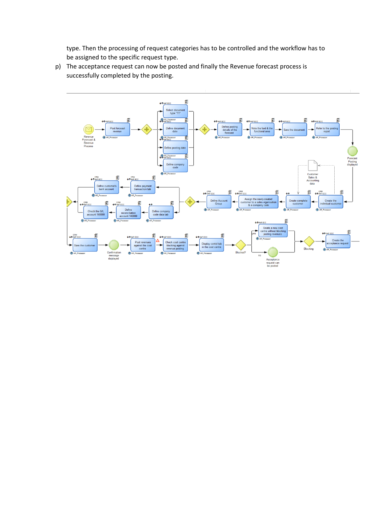type. Then the processing of request categories has to be controlled and the workflow has to be assigned to the specific request type.

p) The acceptance request can now be posted and finally the Revenue forecast process is successfully completed by the posting.

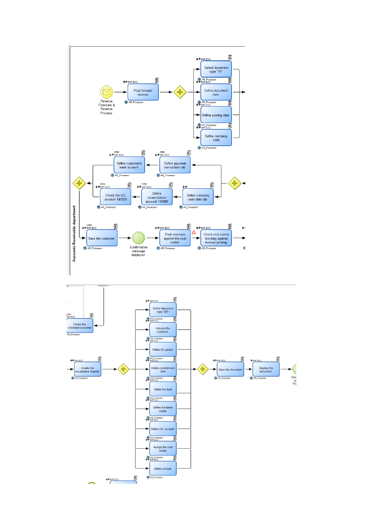